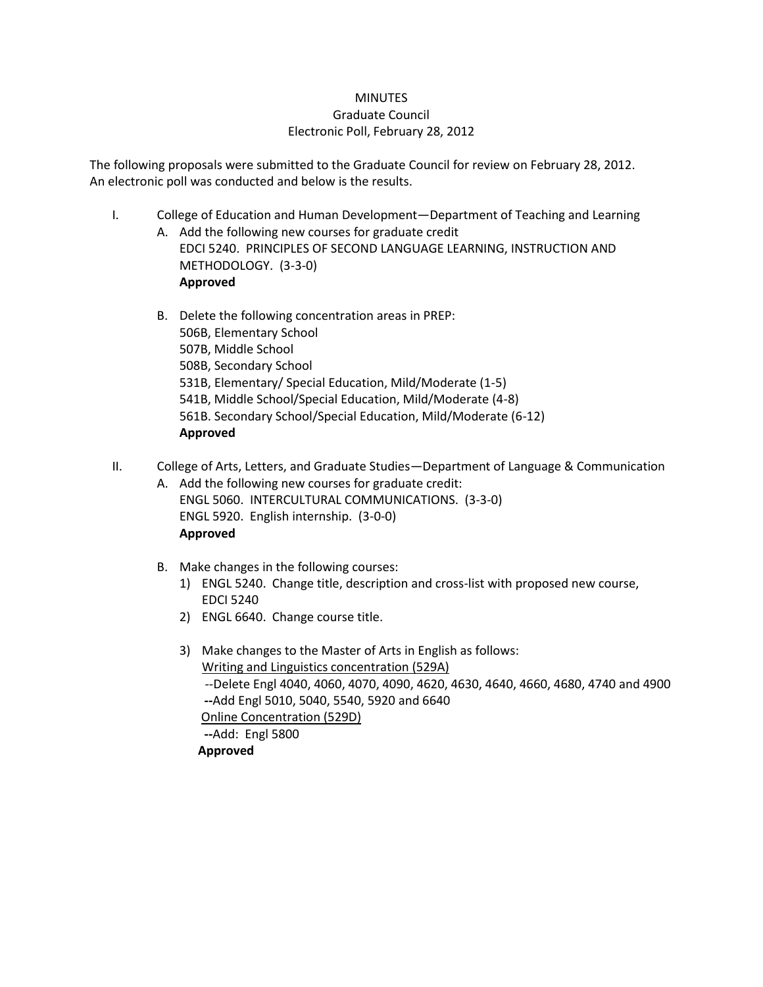## **MINUTES** Graduate Council Electronic Poll, February 28, 2012

The following proposals were submitted to the Graduate Council for review on February 28, 2012. An electronic poll was conducted and below is the results.

- I. College of Education and Human Development—Department of Teaching and Learning A. Add the following new courses for graduate credit EDCI 5240. PRINCIPLES OF SECOND LANGUAGE LEARNING, INSTRUCTION AND METHODOLOGY. (3-3-0)
	- B. Delete the following concentration areas in PREP: 506B, Elementary School 507B, Middle School 508B, Secondary School 531B, Elementary/ Special Education, Mild/Moderate (1-5) 541B, Middle School/Special Education, Mild/Moderate (4-8) 561B. Secondary School/Special Education, Mild/Moderate (6-12) **Approved**
- II. College of Arts, Letters, and Graduate Studies—Department of Language & Communication
	- A. Add the following new courses for graduate credit: ENGL 5060. INTERCULTURAL COMMUNICATIONS. (3-3-0) ENGL 5920. English internship. (3-0-0) **Approved**
	- B. Make changes in the following courses:

**Approved**

- 1) ENGL 5240. Change title, description and cross-list with proposed new course, EDCI 5240
- 2) ENGL 6640. Change course title.
- 3) Make changes to the Master of Arts in English as follows: Writing and Linguistics concentration (529A) --Delete Engl 4040, 4060, 4070, 4090, 4620, 4630, 4640, 4660, 4680, 4740 and 4900 **--**Add Engl 5010, 5040, 5540, 5920 and 6640 Online Concentration (529D) **--**Add: Engl 5800  **Approved**